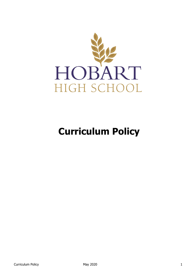

# **Curriculum Policy**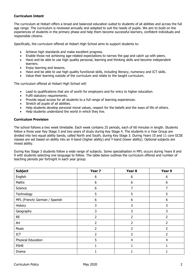# **Curriculum Intent**

The curriculum at Hobart offers a broad and balanced education suited to students of all abilities and across the full age range. The curriculum is reviewed annually and adapted to suit the needs of pupils. We aim to build on the experiences of students in the primary phase and help them become successful learners, confident individuals and responsible citizens.

Specifically, the curriculum offered at Hobart High School aims to support students to:

- Achieve high standards and make excellent progress.
- Enable those not achieving age-related expectations to narrow the gap and catch up with peers.
- Have and be able to use high quality personal, learning and thinking skills and become independent learners.
- Enjoy learning and lessons.
- Have and be able to use high quality functional skills, including literacy, numeracy and ICT skills.
- Value their learning outside of the curriculum and relate to the taught curriculum.

The curriculum offered at Hobart High School will:

- Lead to qualifications that are of worth for employers and for entry to higher education.
- Fulfil statutory requirements.
- Provide equal access for all students to a full range of learning experiences.
- Stretch all pupils of all abilities.
- Help students develop personal moral values, respect for the beliefs and the ways of life of others.
- Help students understand the world in which they live.

#### **Curriculum Provision**

The school follows a two week timetable. Each week contains 25 periods, each of 60 minutes in length. Students follow a three year Key Stage 3 and two years of study during Key Stage 4. The students in a Year Group are divided into two equal ability bands, called North and South, during Key Stage 3. During Years 10 and 11 core GCSE classes are set based on ability into an X-band (higher ability) and Y-band (lower ability). Optional subjects are mixed ability.

During Key Stage 3 students follow a wide range of subjects. Some specialisation in MFL occurs during Years 8 and 9 with students selecting one language to follow. The table below outlines the curriculum offered and number of teaching periods per fortnight in each year group.

| <b>Subject</b>                | Year 7         | Year <sub>8</sub> | Year 9         |
|-------------------------------|----------------|-------------------|----------------|
| English                       | 6              | 6                 | 6              |
| Maths                         | 6              | 6                 | 6              |
| Science                       | 6              | 7                 | 7              |
| Technology                    | 5              | 5                 | 5              |
| MFL (French/ German / Spanish | 6              | 6                 | 6              |
| History                       | 3              | 3                 | 3              |
| Geography                     | 3              | 3                 | 3              |
| <b>RE</b>                     | $\overline{2}$ | 2                 | $\overline{2}$ |
| Art                           | 2              | $\overline{2}$    | 2              |
| Music                         | $\overline{2}$ | $\overline{2}$    | 2              |
| ICT                           | 2              | $\overline{2}$    | 2              |
| Physical Education            | 5              | $\overline{4}$    | 4              |
| <b>PSHE</b>                   | 1              |                   |                |
| Drama                         | 1.             |                   |                |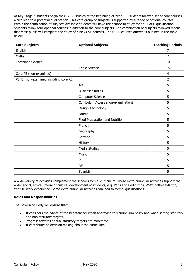At Key Stage 4 students begin their GCSE studies at the beginning of Year 10. Students follow a set of core courses which lead to a potential qualification. This core group of subjects is supported by a range of optional courses. Within the combination of subjects available students will have the chance to study for an EBACC qualification. Students follow four optional courses in addition to the core subjects. The combination of subjects followed means that most pupils will complete the study of nine GCSE courses. The GCSE courses offered is outlined in the table below.

| <b>Core Subjects</b>                 | <b>Optional Subjects</b>            | <b>Teaching Periods</b> |
|--------------------------------------|-------------------------------------|-------------------------|
| English                              |                                     | $\overline{7}$          |
| Maths                                |                                     | 7                       |
| <b>Combined Science</b>              |                                     | 10                      |
|                                      | <b>Triple Science</b>               | 15                      |
| Core PE (non-examined)               |                                     | $\overline{4}$          |
| PSHE (non-examined including core RE |                                     | $\overline{2}$          |
|                                      | Art                                 | 5                       |
|                                      | <b>Business Studies</b>             | 5                       |
|                                      | Computer Science                    | 5                       |
|                                      | Curriculum Access (non-examination) | 5                       |
|                                      | Design Technology                   | 5                       |
|                                      | Drama                               | 5                       |
|                                      | Food Preparation and Nutrition      | 5                       |
|                                      | French                              | 5                       |
|                                      | Geography                           | 5                       |
|                                      | German                              | 5                       |
|                                      | History                             | 5                       |
|                                      | Media Studies                       | 5                       |
|                                      | <b>Music</b>                        | 5                       |
|                                      | PE                                  | 5                       |
|                                      | <b>RE</b>                           | 5                       |
|                                      | Spanish                             | 5                       |

A wide variety of activities complement the school's formal curriculum. These extra-curricular activities support the wider social, ethical, moral or cultural development of students, e.g. Paris and Berlin trips, WW1 battlefields trip, Year 10 work experience. Some extra-curricular activities can lead to formal qualifications.

## **Roles and Responsibilities**

The Governing Body will ensure that:

- It considers the advice of the headteacher when approving this curriculum policy and when setting statutory and non-statutory targets.
- Progress towards annual statutory targets are monitored.
- It contributes to decision making about the curriculum.